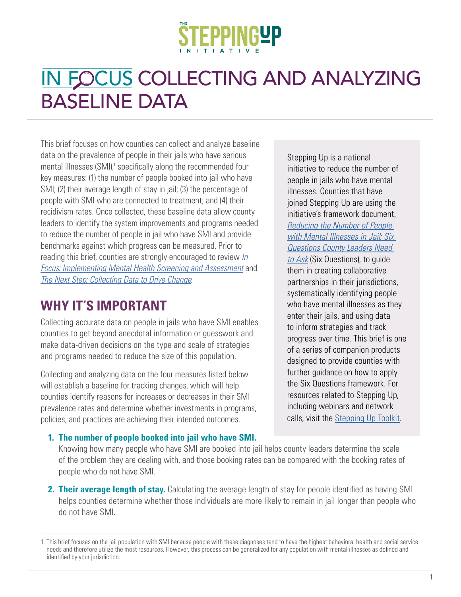# IN FOCUS COLLECTING AND ANALYZING BASELINE DATA

This brief focuses on how counties can collect and analyze baseline data on the prevalence of people in their jails who have serious mental illnesses (SMI),<sup>1</sup> specifically along the recommended four key measures: (1) the number of people booked into jail who have SMI; (2) their average length of stay in jail; (3) the percentage of people with SMI who are connected to treatment; and (4) their recidivism rates. Once collected, these baseline data allow county leaders to identify the system improvements and programs needed to reduce the number of people in jail who have SMI and provide benchmarks against which progress can be measured. Prior to reading this brief, counties are strongly encouraged to review *[In](https://stepuptogether.org/wp-content/uploads/In-Focus-MH-Screening-Assessment-7.31.18-FINAL.pdf)  [Focus: Implementing Mental Health Screening and Assessment](https://stepuptogether.org/wp-content/uploads/In-Focus-MH-Screening-Assessment-7.31.18-FINAL.pdf)* and *[The Next Step: Collecting Data to Drive Change](https://stepuptogether.org/wp-content/uploads/Next-Phase-Two-Pager_FINAL.pdf)*.

## **WHY IT'S IMPORTANT**

Collecting accurate data on people in jails who have SMI enables counties to get beyond anecdotal information or guesswork and make data-driven decisions on the type and scale of strategies and programs needed to reduce the size of this population.

Collecting and analyzing data on the four measures listed below will establish a baseline for tracking changes, which will help counties identify reasons for increases or decreases in their SMI prevalence rates and determine whether investments in programs, policies, and practices are achieving their intended outcomes.

Stepping Up is a national initiative to reduce the number of people in jails who have mental illnesses. Counties that have joined Stepping Up are using the initiative's framework document, *[Reducing the Number of People](https://stepuptogether.org/wp-content/uploads/2017/01/Reducing-the-Number-of-People-with-Mental-Illnesses-in-Jail_Six-Questions.pdf)  [with Mental Illnesses in Jail: Six](https://stepuptogether.org/wp-content/uploads/2017/01/Reducing-the-Number-of-People-with-Mental-Illnesses-in-Jail_Six-Questions.pdf)  [Questions County Leaders Need](https://stepuptogether.org/wp-content/uploads/2017/01/Reducing-the-Number-of-People-with-Mental-Illnesses-in-Jail_Six-Questions.pdf)  [to Ask](https://stepuptogether.org/wp-content/uploads/2017/01/Reducing-the-Number-of-People-with-Mental-Illnesses-in-Jail_Six-Questions.pdf)* (Six Questions), to guide them in creating collaborative partnerships in their jurisdictions, systematically identifying people who have mental illnesses as they enter their jails, and using data to inform strategies and track progress over time. This brief is one of a series of companion products designed to provide counties with further guidance on how to apply the Six Questions framework. For resources related to Stepping Up, including webinars and network calls, visit the [Stepping Up Toolkit](https://stepuptogether.org/toolkit).

#### **1. The number of people booked into jail who have SMI.**

Knowing how many people who have SMI are booked into jail helps county leaders determine the scale of the problem they are dealing with, and those booking rates can be compared with the booking rates of people who do not have SMI.

**2. Their average length of stay.** Calculating the average length of stay for people identified as having SMI helps counties determine whether those individuals are more likely to remain in jail longer than people who do not have SMI.

<sup>1.</sup> This brief focuses on the jail population with SMI because people with these diagnoses tend to have the highest behavioral health and social service needs and therefore utilize the most resources. However, this process can be generalized for any population with mental illnesses as defined and identified by your jurisdiction.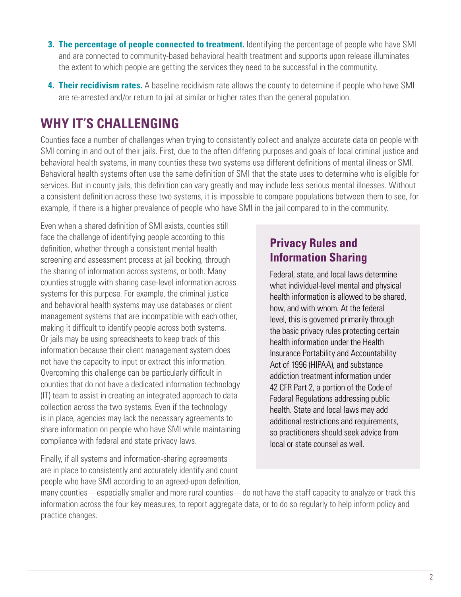- **3. The percentage of people connected to treatment.** Identifying the percentage of people who have SMI and are connected to community-based behavioral health treatment and supports upon release illuminates the extent to which people are getting the services they need to be successful in the community.
- **4. Their recidivism rates.** A baseline recidivism rate allows the county to determine if people who have SMI are re-arrested and/or return to jail at similar or higher rates than the general population.

## **WHY IT'S CHALLENGING**

Counties face a number of challenges when trying to consistently collect and analyze accurate data on people with SMI coming in and out of their jails. First, due to the often differing purposes and goals of local criminal justice and behavioral health systems, in many counties these two systems use different definitions of mental illness or SMI. Behavioral health systems often use the same definition of SMI that the state uses to determine who is eligible for services. But in county jails, this definition can vary greatly and may include less serious mental illnesses. Without a consistent definition across these two systems, it is impossible to compare populations between them to see, for example, if there is a higher prevalence of people who have SMI in the jail compared to in the community.

Even when a shared definition of SMI exists, counties still face the challenge of identifying people according to this definition, whether through a consistent mental health screening and assessment process at jail booking, through the sharing of information across systems, or both. Many counties struggle with sharing case-level information across systems for this purpose. For example, the criminal justice and behavioral health systems may use databases or client management systems that are incompatible with each other, making it difficult to identify people across both systems. Or jails may be using spreadsheets to keep track of this information because their client management system does not have the capacity to input or extract this information. Overcoming this challenge can be particularly difficult in counties that do not have a dedicated information technology (IT) team to assist in creating an integrated approach to data collection across the two systems. Even if the technology is in place, agencies may lack the necessary agreements to share information on people who have SMI while maintaining compliance with federal and state privacy laws.

Finally, if all systems and information-sharing agreements are in place to consistently and accurately identify and count people who have SMI according to an agreed-upon definition,

## **Privacy Rules and Information Sharing**

Federal, state, and local laws determine what individual-level mental and physical health information is allowed to be shared, how, and with whom. At the federal level, this is governed primarily through the basic privacy rules protecting certain health information under the Health Insurance Portability and Accountability Act of 1996 (HIPAA), and substance addiction treatment information under 42 CFR Part 2, a portion of the Code of Federal Regulations addressing public health. State and local laws may add additional restrictions and requirements, so practitioners should seek advice from local or state counsel as well.

many counties—especially smaller and more rural counties—do not have the staff capacity to analyze or track this information across the four key measures, to report aggregate data, or to do so regularly to help inform policy and practice changes.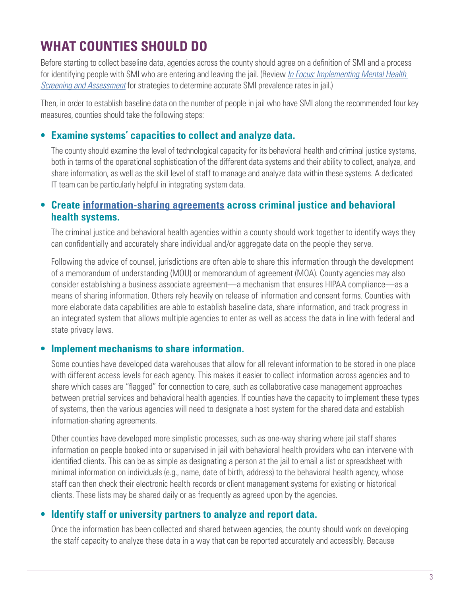## **WHAT COUNTIES SHOULD DO**

Before starting to collect baseline data, agencies across the county should agree on a definition of SMI and a process for identifying people with SMI who are entering and leaving the jail. (Review *[In Focus: Implementing Mental Health](https://stepuptogether.org/wp-content/uploads/In-Focus-MH-Screening-Assessment-7.31.18-FINAL.pdf)  [Screening and Assessment](https://stepuptogether.org/wp-content/uploads/In-Focus-MH-Screening-Assessment-7.31.18-FINAL.pdf)* for strategies to determine accurate SMI prevalence rates in jail.)

Then, in order to establish baseline data on the number of people in jail who have SMI along the recommended four key measures, counties should take the following steps:

#### **• Examine systems' capacities to collect and analyze data.**

The county should examine the level of technological capacity for its behavioral health and criminal justice systems, both in terms of the operational sophistication of the different data systems and their ability to collect, analyze, and share information, as well as the skill level of staff to manage and analyze data within these systems. A dedicated IT team can be particularly helpful in integrating system data.

## **• Create [information-sharing agreements](https://www.bja.gov/Publications/CSG_CJMH_Info_Sharing.pdf) across criminal justice and behavioral health systems.**

The criminal justice and behavioral health agencies within a county should work together to identify ways they can confidentially and accurately share individual and/or aggregate data on the people they serve.

Following the advice of counsel, jurisdictions are often able to share this information through the development of a memorandum of understanding (MOU) or memorandum of agreement (MOA). County agencies may also consider establishing a business associate agreement—a mechanism that ensures HIPAA compliance—as a means of sharing information. Others rely heavily on release of information and consent forms. Counties with more elaborate data capabilities are able to establish baseline data, share information, and track progress in an integrated system that allows multiple agencies to enter as well as access the data in line with federal and state privacy laws.

## **• Implement mechanisms to share information.**

Some counties have developed data warehouses that allow for all relevant information to be stored in one place with different access levels for each agency. This makes it easier to collect information across agencies and to share which cases are "flagged" for connection to care, such as collaborative case management approaches between pretrial services and behavioral health agencies. If counties have the capacity to implement these types of systems, then the various agencies will need to designate a host system for the shared data and establish information-sharing agreements.

Other counties have developed more simplistic processes, such as one-way sharing where jail staff shares information on people booked into or supervised in jail with behavioral health providers who can intervene with identified clients. This can be as simple as designating a person at the jail to email a list or spreadsheet with minimal information on individuals (e.g., name, date of birth, address) to the behavioral health agency, whose staff can then check their electronic health records or client management systems for existing or historical clients. These lists may be shared daily or as frequently as agreed upon by the agencies.

## **• Identify staff or university partners to analyze and report data.**

Once the information has been collected and shared between agencies, the county should work on developing the staff capacity to analyze these data in a way that can be reported accurately and accessibly. Because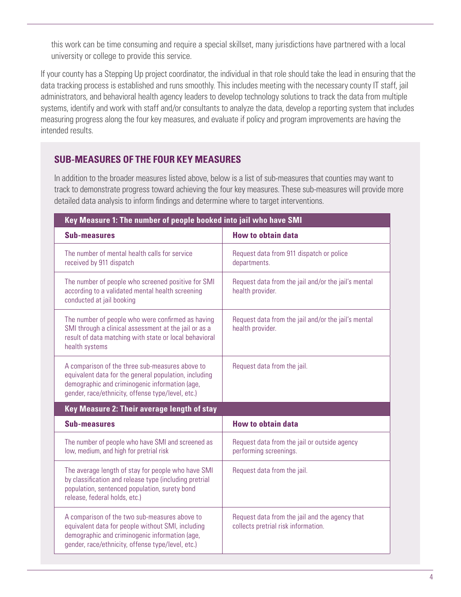this work can be time consuming and require a special skillset, many jurisdictions have partnered with a local university or college to provide this service.

If your county has a Stepping Up project coordinator, the individual in that role should take the lead in ensuring that the data tracking process is established and runs smoothly. This includes meeting with the necessary county IT staff, jail administrators, and behavioral health agency leaders to develop technology solutions to track the data from multiple systems, identify and work with staff and/or consultants to analyze the data, develop a reporting system that includes measuring progress along the four key measures, and evaluate if policy and program improvements are having the intended results.

## **SUB-MEASURES OF THE FOUR KEY MEASURES**

In addition to the broader measures listed above, below is a list of sub-measures that counties may want to track to demonstrate progress toward achieving the four key measures. These sub-measures will provide more detailed data analysis to inform findings and determine where to target interventions.

| Key Measure 1: The number of people booked into jail who have SMI                                                                                                                                               |                                                                                       |  |
|-----------------------------------------------------------------------------------------------------------------------------------------------------------------------------------------------------------------|---------------------------------------------------------------------------------------|--|
| <b>Sub-measures</b>                                                                                                                                                                                             | <b>How to obtain data</b>                                                             |  |
| The number of mental health calls for service<br>received by 911 dispatch                                                                                                                                       | Request data from 911 dispatch or police<br>departments.                              |  |
| The number of people who screened positive for SMI<br>according to a validated mental health screening<br>conducted at jail booking                                                                             | Request data from the jail and/or the jail's mental<br>health provider.               |  |
| The number of people who were confirmed as having<br>SMI through a clinical assessment at the jail or as a<br>result of data matching with state or local behavioral<br>health systems                          | Request data from the jail and/or the jail's mental<br>health provider.               |  |
| A comparison of the three sub-measures above to<br>equivalent data for the general population, including<br>demographic and criminogenic information (age,<br>gender, race/ethnicity, offense type/level, etc.) | Request data from the jail.                                                           |  |
| Key Measure 2: Their average length of stay                                                                                                                                                                     |                                                                                       |  |
| <b>Sub-measures</b>                                                                                                                                                                                             | <b>How to obtain data</b>                                                             |  |
| The number of people who have SMI and screened as<br>low, medium, and high for pretrial risk                                                                                                                    | Request data from the jail or outside agency<br>performing screenings.                |  |
| The average length of stay for people who have SMI<br>by classification and release type (including pretrial<br>population, sentenced population, surety bond<br>release, federal holds, etc.)                  | Request data from the jail.                                                           |  |
| A comparison of the two sub-measures above to<br>equivalent data for people without SMI, including<br>demographic and criminogenic information (age,<br>gender, race/ethnicity, offense type/level, etc.)       | Request data from the jail and the agency that<br>collects pretrial risk information. |  |